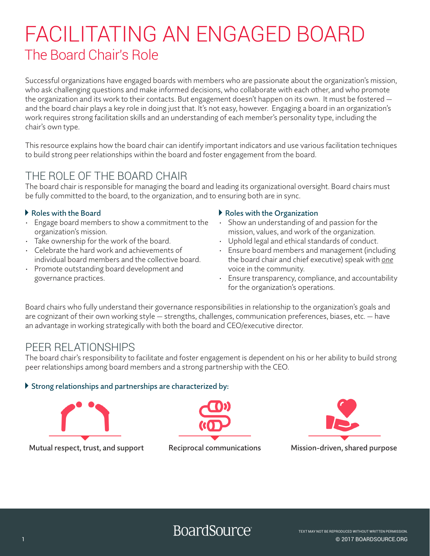# FACILITATING AN ENGAGED BOARD The Board Chair's Role

Successful organizations have engaged boards with members who are passionate about the organization's mission, who ask challenging questions and make informed decisions, who collaborate with each other, and who promote the organization and its work to their contacts. But engagement doesn't happen on its own. It must be fostered and the board chair plays a key role in doing just that. It's not easy, however. Engaging a board in an organization's work requires strong facilitation skills and an understanding of each member's personality type, including the chair's own type.

This resource explains how the board chair can identify important indicators and use various facilitation techniques to build strong peer relationships within the board and foster engagement from the board.

### THE ROLE OF THE BOARD CHAIR

The board chair is responsible for managing the board and leading its organizational oversight. Board chairs must be fully committed to the board, to the organization, and to ensuring both are in sync.

### b Roles with the Board

- Engage board members to show a commitment to the organization's mission.
- Take ownership for the work of the board.
- Celebrate the hard work and achievements of individual board members and the collective board.
- Promote outstanding board development and governance practices.

### b Roles with the Organization

- Show an understanding of and passion for the mission, values, and work of the organization.
- Uphold legal and ethical standards of conduct.
- Ensure board members and management (including the board chair and chief executive) speak with *one* voice in the community.
- Ensure transparency, compliance, and accountability for the organization's operations.

Board chairs who fully understand their governance responsibilities in relationship to the organization's goals and are cognizant of their own working style — strengths, challenges, communication preferences, biases, etc. — have an advantage in working strategically with both the board and CEO/executive director.

### PEER RELATIONSHIPS

The board chair's responsibility to facilitate and foster engagement is dependent on his or her ability to build strong peer relationships among board members and a strong partnership with the CEO.

### $\triangleright$  Strong relationships and partnerships are characterized by:



Mutual respect, trust, and support Reciprocal communications Mission-driven, shared purpose





**BoardSource** 

1 © 2017 BOARDSOURCE.ORG TEXT MAY NOT BE REPRODUCED WITHOUT WRITTEN PERMISSION.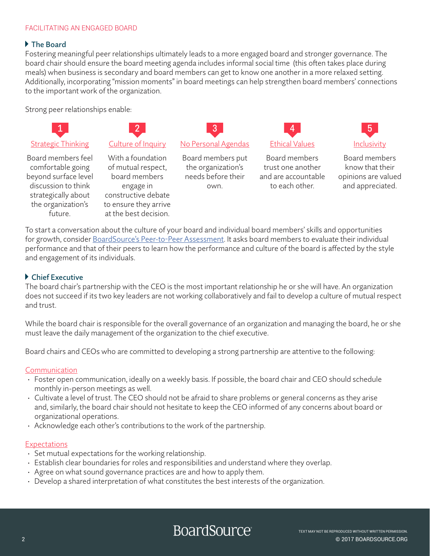### FACILITATING AN ENGAGED BOARD

### b The Board

Fostering meaningful peer relationships ultimately leads to a more engaged board and stronger governance. The board chair should ensure the board meeting agenda includes informal social time (this often takes place during meals) when business is secondary and board members can get to know one another in a more relaxed setting. Additionally, incorporating "mission moments" in board meetings can help strengthen board members' connections to the important work of the organization.

Strong peer relationships enable:



To start a conversation about the culture of your board and individual board members' skills and opportunities for growth, consider [BoardSource's Peer-to-Peer Assessment.](https://boardsource.org/resources-solutions/assessing-performance/peer-peer-assessment/) It asks board members to evaluate their individual performance and that of their peers to learn how the performance and culture of the board is affected by the style and engagement of its individuals.

### ▶ Chief Executive

future.

The board chair's partnership with the CEO is the most important relationship he or she will have. An organization does not succeed if its two key leaders are not working collaboratively and fail to develop a culture of mutual respect and trust.

While the board chair is responsible for the overall governance of an organization and managing the board, he or she must leave the daily management of the organization to the chief executive.

Board chairs and CEOs who are committed to developing a strong partnership are attentive to the following:

#### **Communication**

- Foster open communication, ideally on a weekly basis. If possible, the board chair and CEO should schedule monthly in-person meetings as well.
- Cultivate a level of trust. The CEO should not be afraid to share problems or general concerns as they arise and, similarly, the board chair should not hesitate to keep the CEO informed of any concerns about board or organizational operations.
- Acknowledge each other's contributions to the work of the partnership.

at the best decision.

#### **Expectations**

- Set mutual expectations for the working relationship.
- Establish clear boundaries for roles and responsibilities and understand where they overlap.
- Agree on what sound governance practices are and how to apply them.
- Develop a shared interpretation of what constitutes the best interests of the organization.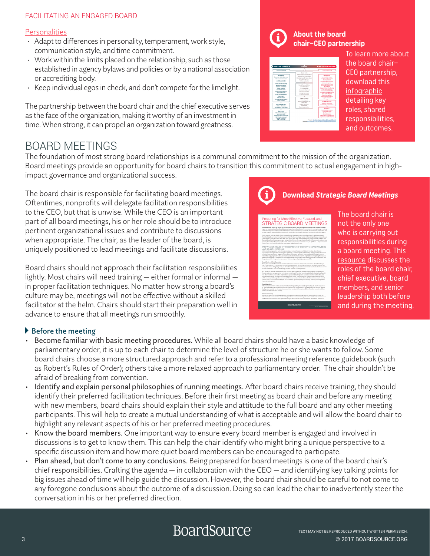### FACILITATING AN ENGAGED BOARD

### **Personalities**

- Adapt to differences in personality, temperament, work style, communication style, and time commitment.
- Work within the limits placed on the relationship, such as those established in agency bylaws and policies or by a national association or accrediting body.
- Keep individual egos in check, and don't compete for the limelight.

The partnership between the board chair and the chief executive serves as the face of the organization, making it worthy of an investment in time. When strong, it can propel an organization toward greatness.

### BOARD MEETINGS

The foundation of most strong board relationships is a communal commitment to the mission of the organization. Board meetings provide an opportunity for board chairs to transition this commitment to actual engagement in highimpact governance and organizational success.

The board chair is responsible for facilitating board meetings. Oftentimes, nonprofits will delegate facilitation responsibilities to the CEO, but that is unwise. While the CEO is an important part of all board meetings, his or her role should be to introduce pertinent organizational issues and contribute to discussions when appropriate. The chair, as the leader of the board, is uniquely positioned to lead meetings and facilitate discussions.

Board chairs should not approach their facilitation responsibilities lightly. Most chairs will need training — either formal or informal in proper facilitation techniques. No matter how strong a board's culture may be, meetings will not be effective without a skilled facilitator at the helm. Chairs should start their preparation well in advance to ensure that all meetings run smoothly.

### b Before the meeting

- Become familiar with basic meeting procedures. While all board chairs should have a basic knowledge of parliamentary order, it is up to each chair to determine the level of structure he or she wants to follow. Some board chairs choose a more structured approach and refer to a professional meeting reference guidebook (such as Robert's Rules of Order); others take a more relaxed approach to parliamentary order. The chair shouldn't be afraid of breaking from convention.
- Identify and explain personal philosophies of running meetings. After board chairs receive training, they should identify their preferred facilitation techniques. Before their first meeting as board chair and before any meeting with new members, board chairs should explain their style and attitude to the full board and any other meeting participants. This will help to create a mutual understanding of what is acceptable and will allow the board chair to highlight any relevant aspects of his or her preferred meeting procedures.
- Know the board members. One important way to ensure every board member is engaged and involved in discussions is to get to know them. This can help the chair identify who might bring a unique perspective to a specific discussion item and how more quiet board members can be encouraged to participate.
- Plan ahead, but don't come to any conclusions. Being prepared for board meetings is one of the board chair's chief responsibilities. Crafting the agenda — in collaboration with the CEO — and identifying key talking points for big issues ahead of time will help guide the discussion. However, the board chair should be careful to not come to any foregone conclusions about the outcome of a discussion. Doing so can lead the chair to inadvertently steer the conversation in his or her preferred direction.



### **About the board chair–CEO partnership**



To learn more about the board chair– CEO partnership[,](https://boardsource.org/wp-content/uploads/2017/03/Board-Chair-CEO-Partnership-Table.pdf) [download this](https://boardsource.org/wp-content/uploads/2017/03/Board-Chair-CEO-Partnership-Table.pdf)  [infographic](https://boardsource.org/wp-content/uploads/2017/03/Board-Chair-CEO-Partnership-Table.pdf) detailing key roles, shared responsibilities, and outcomes.



**Download Strategic Board Meetings**

### The board chair is not the only one who is carrying out responsibilities during a board meeting. This [resource](https://boardsource.org/strategic-board-meetings/) discusses the roles of the board chair, chief executive, board members, and senior leadership both before and during the meeting.